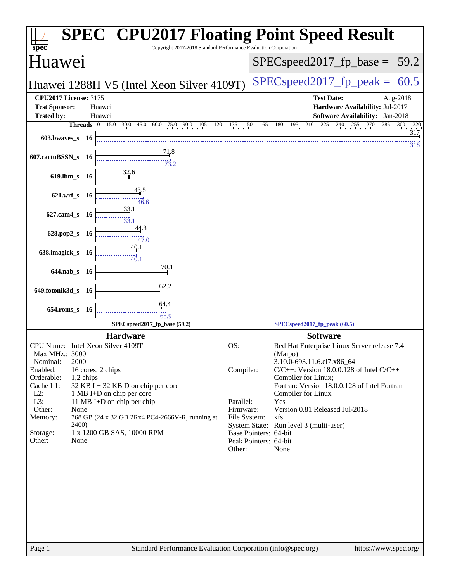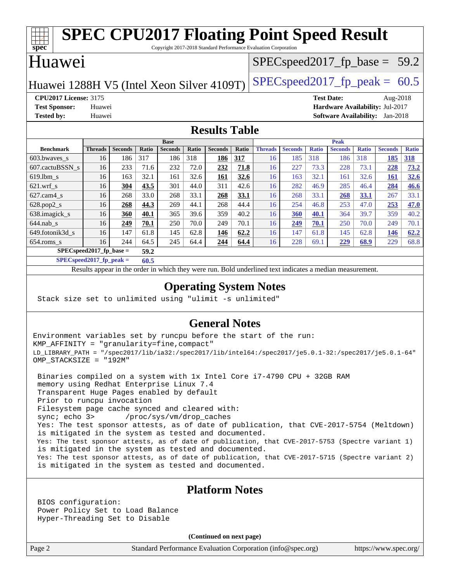#### **[spec](http://www.spec.org/) [SPEC CPU2017 Floating Point Speed Result](http://www.spec.org/auto/cpu2017/Docs/result-fields.html#SPECCPU2017FloatingPointSpeedResult)** Copyright 2017-2018 Standard Performance Evaluation Corporation Huawei Huawei 1288H V5 (Intel Xeon Silver 4109T) [SPECspeed2017\\_fp\\_peak =](http://www.spec.org/auto/cpu2017/Docs/result-fields.html#SPECspeed2017fppeak)  $60.5$  $SPECspeed2017_fp\_base = 59.2$ **[CPU2017 License:](http://www.spec.org/auto/cpu2017/Docs/result-fields.html#CPU2017License)** 3175 **[Test Date:](http://www.spec.org/auto/cpu2017/Docs/result-fields.html#TestDate)** Aug-2018 **[Test Sponsor:](http://www.spec.org/auto/cpu2017/Docs/result-fields.html#TestSponsor)** Huawei **[Hardware Availability:](http://www.spec.org/auto/cpu2017/Docs/result-fields.html#HardwareAvailability)** Jul-2017 **[Tested by:](http://www.spec.org/auto/cpu2017/Docs/result-fields.html#Testedby)** Huawei **[Software Availability:](http://www.spec.org/auto/cpu2017/Docs/result-fields.html#SoftwareAvailability)** Jan-2018 **[Results Table](http://www.spec.org/auto/cpu2017/Docs/result-fields.html#ResultsTable) [Benchmark](http://www.spec.org/auto/cpu2017/Docs/result-fields.html#Benchmark) [Threads](http://www.spec.org/auto/cpu2017/Docs/result-fields.html#Threads) [Seconds](http://www.spec.org/auto/cpu2017/Docs/result-fields.html#Seconds) [Ratio](http://www.spec.org/auto/cpu2017/Docs/result-fields.html#Ratio) [Seconds](http://www.spec.org/auto/cpu2017/Docs/result-fields.html#Seconds) [Ratio](http://www.spec.org/auto/cpu2017/Docs/result-fields.html#Ratio) [Seconds](http://www.spec.org/auto/cpu2017/Docs/result-fields.html#Seconds) [Ratio](http://www.spec.org/auto/cpu2017/Docs/result-fields.html#Ratio) Base [Threads](http://www.spec.org/auto/cpu2017/Docs/result-fields.html#Threads) [Seconds](http://www.spec.org/auto/cpu2017/Docs/result-fields.html#Seconds) [Ratio](http://www.spec.org/auto/cpu2017/Docs/result-fields.html#Ratio) [Seconds](http://www.spec.org/auto/cpu2017/Docs/result-fields.html#Seconds) [Ratio](http://www.spec.org/auto/cpu2017/Docs/result-fields.html#Ratio) [Seconds](http://www.spec.org/auto/cpu2017/Docs/result-fields.html#Seconds) [Ratio](http://www.spec.org/auto/cpu2017/Docs/result-fields.html#Ratio) Peak** [603.bwaves\\_s](http://www.spec.org/auto/cpu2017/Docs/benchmarks/603.bwaves_s.html) 16 186 317 186 318 **[186](http://www.spec.org/auto/cpu2017/Docs/result-fields.html#Median) [317](http://www.spec.org/auto/cpu2017/Docs/result-fields.html#Median)** 16 185 318 186 318 **[185](http://www.spec.org/auto/cpu2017/Docs/result-fields.html#Median) [318](http://www.spec.org/auto/cpu2017/Docs/result-fields.html#Median)** [607.cactuBSSN\\_s](http://www.spec.org/auto/cpu2017/Docs/benchmarks/607.cactuBSSN_s.html) 16 233 71.6 232 72.0 **[232](http://www.spec.org/auto/cpu2017/Docs/result-fields.html#Median) [71.8](http://www.spec.org/auto/cpu2017/Docs/result-fields.html#Median)** 16 227 73.3 228 73.1 **[228](http://www.spec.org/auto/cpu2017/Docs/result-fields.html#Median) [73.2](http://www.spec.org/auto/cpu2017/Docs/result-fields.html#Median)** [619.lbm\\_s](http://www.spec.org/auto/cpu2017/Docs/benchmarks/619.lbm_s.html) 16 163 32.1 161 32.6 **[161](http://www.spec.org/auto/cpu2017/Docs/result-fields.html#Median) [32.6](http://www.spec.org/auto/cpu2017/Docs/result-fields.html#Median)** 16 163 32.1 161 32.6 **[161](http://www.spec.org/auto/cpu2017/Docs/result-fields.html#Median) [32.6](http://www.spec.org/auto/cpu2017/Docs/result-fields.html#Median)** [621.wrf\\_s](http://www.spec.org/auto/cpu2017/Docs/benchmarks/621.wrf_s.html) 16 **[304](http://www.spec.org/auto/cpu2017/Docs/result-fields.html#Median) [43.5](http://www.spec.org/auto/cpu2017/Docs/result-fields.html#Median)** 301 44.0 311 42.6 16 282 46.9 285 46.4 **[284](http://www.spec.org/auto/cpu2017/Docs/result-fields.html#Median) [46.6](http://www.spec.org/auto/cpu2017/Docs/result-fields.html#Median)** [627.cam4\\_s](http://www.spec.org/auto/cpu2017/Docs/benchmarks/627.cam4_s.html) 16 268 33.0 268 33.1 **[268](http://www.spec.org/auto/cpu2017/Docs/result-fields.html#Median) [33.1](http://www.spec.org/auto/cpu2017/Docs/result-fields.html#Median)** 16 268 33.1 **[268](http://www.spec.org/auto/cpu2017/Docs/result-fields.html#Median) [33.1](http://www.spec.org/auto/cpu2017/Docs/result-fields.html#Median)** 267 33.1 [628.pop2\\_s](http://www.spec.org/auto/cpu2017/Docs/benchmarks/628.pop2_s.html) 16 **[268](http://www.spec.org/auto/cpu2017/Docs/result-fields.html#Median) [44.3](http://www.spec.org/auto/cpu2017/Docs/result-fields.html#Median)** 269 44.1 268 44.4 16 254 46.8 253 47.0 **[253](http://www.spec.org/auto/cpu2017/Docs/result-fields.html#Median) [47.0](http://www.spec.org/auto/cpu2017/Docs/result-fields.html#Median)** [638.imagick\\_s](http://www.spec.org/auto/cpu2017/Docs/benchmarks/638.imagick_s.html) 16 **[360](http://www.spec.org/auto/cpu2017/Docs/result-fields.html#Median) [40.1](http://www.spec.org/auto/cpu2017/Docs/result-fields.html#Median)** 365 39.6 359 40.2 16 **[360](http://www.spec.org/auto/cpu2017/Docs/result-fields.html#Median) [40.1](http://www.spec.org/auto/cpu2017/Docs/result-fields.html#Median)** 364 39.7 359 40.2 [644.nab\\_s](http://www.spec.org/auto/cpu2017/Docs/benchmarks/644.nab_s.html) 16 **[249](http://www.spec.org/auto/cpu2017/Docs/result-fields.html#Median) [70.1](http://www.spec.org/auto/cpu2017/Docs/result-fields.html#Median)** 250 70.0 249 70.1 16 **[249](http://www.spec.org/auto/cpu2017/Docs/result-fields.html#Median) [70.1](http://www.spec.org/auto/cpu2017/Docs/result-fields.html#Median)** 250 70.0 249 70.1 [649.fotonik3d\\_s](http://www.spec.org/auto/cpu2017/Docs/benchmarks/649.fotonik3d_s.html) 16 147 61.8 145 62.8 **[146](http://www.spec.org/auto/cpu2017/Docs/result-fields.html#Median) [62.2](http://www.spec.org/auto/cpu2017/Docs/result-fields.html#Median)** 16 147 61.8 145 62.8 **[146](http://www.spec.org/auto/cpu2017/Docs/result-fields.html#Median) [62.2](http://www.spec.org/auto/cpu2017/Docs/result-fields.html#Median)** [654.roms\\_s](http://www.spec.org/auto/cpu2017/Docs/benchmarks/654.roms_s.html) 16 244 64.5 245 64.4 **[244](http://www.spec.org/auto/cpu2017/Docs/result-fields.html#Median) [64.4](http://www.spec.org/auto/cpu2017/Docs/result-fields.html#Median)** 16 228 69.1 **[229](http://www.spec.org/auto/cpu2017/Docs/result-fields.html#Median) [68.9](http://www.spec.org/auto/cpu2017/Docs/result-fields.html#Median)** 229 68.8 **[SPECspeed2017\\_fp\\_base =](http://www.spec.org/auto/cpu2017/Docs/result-fields.html#SPECspeed2017fpbase) 59.2**

**[SPECspeed2017\\_fp\\_peak =](http://www.spec.org/auto/cpu2017/Docs/result-fields.html#SPECspeed2017fppeak) 60.5**

Results appear in the [order in which they were run.](http://www.spec.org/auto/cpu2017/Docs/result-fields.html#RunOrder) Bold underlined text [indicates a median measurement](http://www.spec.org/auto/cpu2017/Docs/result-fields.html#Median).

#### **[Operating System Notes](http://www.spec.org/auto/cpu2017/Docs/result-fields.html#OperatingSystemNotes)**

Stack size set to unlimited using "ulimit -s unlimited"

#### **[General Notes](http://www.spec.org/auto/cpu2017/Docs/result-fields.html#GeneralNotes)**

Environment variables set by runcpu before the start of the run: KMP\_AFFINITY = "granularity=fine,compact" LD\_LIBRARY\_PATH = "/spec2017/lib/ia32:/spec2017/lib/intel64:/spec2017/je5.0.1-32:/spec2017/je5.0.1-64" OMP\_STACKSIZE = "192M"

 Binaries compiled on a system with 1x Intel Core i7-4790 CPU + 32GB RAM memory using Redhat Enterprise Linux 7.4 Transparent Huge Pages enabled by default Prior to runcpu invocation Filesystem page cache synced and cleared with: sync; echo 3> /proc/sys/vm/drop\_caches Yes: The test sponsor attests, as of date of publication, that CVE-2017-5754 (Meltdown) is mitigated in the system as tested and documented. Yes: The test sponsor attests, as of date of publication, that CVE-2017-5753 (Spectre variant 1) is mitigated in the system as tested and documented. Yes: The test sponsor attests, as of date of publication, that CVE-2017-5715 (Spectre variant 2) is mitigated in the system as tested and documented.

#### **[Platform Notes](http://www.spec.org/auto/cpu2017/Docs/result-fields.html#PlatformNotes)**

 BIOS configuration: Power Policy Set to Load Balance Hyper-Threading Set to Disable

**(Continued on next page)**

Page 2 Standard Performance Evaluation Corporation [\(info@spec.org\)](mailto:info@spec.org) <https://www.spec.org/>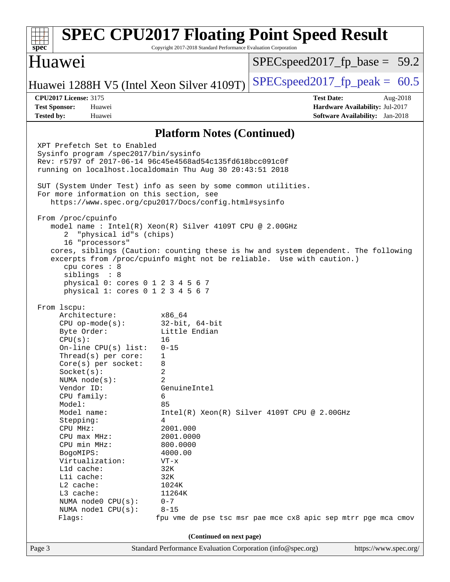| spec <sup>®</sup>                                                                                                                                                                                                                                                                                                                                                                                                                                    | Copyright 2017-2018 Standard Performance Evaluation Corporation                                                                                                                                                                     | <b>SPEC CPU2017 Floating Point Speed Result</b>                                                                                                             |  |
|------------------------------------------------------------------------------------------------------------------------------------------------------------------------------------------------------------------------------------------------------------------------------------------------------------------------------------------------------------------------------------------------------------------------------------------------------|-------------------------------------------------------------------------------------------------------------------------------------------------------------------------------------------------------------------------------------|-------------------------------------------------------------------------------------------------------------------------------------------------------------|--|
| Huawei                                                                                                                                                                                                                                                                                                                                                                                                                                               |                                                                                                                                                                                                                                     | $SPEC speed2017_f p\_base = 59.2$                                                                                                                           |  |
| Huawei 1288H V5 (Intel Xeon Silver 4109T)                                                                                                                                                                                                                                                                                                                                                                                                            |                                                                                                                                                                                                                                     | $SPEC speed2017fp peak = 60.5$                                                                                                                              |  |
| <b>CPU2017 License: 3175</b><br><b>Test Sponsor:</b><br>Huawei<br><b>Tested by:</b><br>Huawei                                                                                                                                                                                                                                                                                                                                                        |                                                                                                                                                                                                                                     | <b>Test Date:</b><br>Aug-2018<br>Hardware Availability: Jul-2017<br><b>Software Availability:</b> Jan-2018                                                  |  |
|                                                                                                                                                                                                                                                                                                                                                                                                                                                      | <b>Platform Notes (Continued)</b>                                                                                                                                                                                                   |                                                                                                                                                             |  |
| XPT Prefetch Set to Enabled<br>Sysinfo program /spec2017/bin/sysinfo<br>Rev: r5797 of 2017-06-14 96c45e4568ad54c135fd618bcc091c0f<br>running on localhost.localdomain Thu Aug 30 20:43:51 2018<br>SUT (System Under Test) info as seen by some common utilities.<br>For more information on this section, see<br>https://www.spec.org/cpu2017/Docs/config.html#sysinfo                                                                               |                                                                                                                                                                                                                                     |                                                                                                                                                             |  |
| From /proc/cpuinfo<br>model name: $Intel(R)$ Xeon(R) Silver 4109T CPU @ 2.00GHz<br>"physical id"s (chips)<br>2<br>16 "processors"<br>cpu cores : 8<br>siblings : 8<br>physical 0: cores 0 1 2 3 4 5 6 7<br>physical 1: cores 0 1 2 3 4 5 6 7                                                                                                                                                                                                         |                                                                                                                                                                                                                                     | cores, siblings (Caution: counting these is hw and system dependent. The following<br>excerpts from /proc/cpuinfo might not be reliable. Use with caution.) |  |
| From 1scpu:<br>Architecture:<br>$CPU$ op-mode( $s$ ):<br>Byte Order:<br>CPU(s):<br>On-line $CPU(s)$ list:<br>Thread(s) per core:<br>Core(s) per socket:<br>Socket(s):<br>NUMA $node(s)$ :<br>Vendor ID:<br>CPU family:<br>Model:<br>Model name:<br>Stepping:<br>CPU MHz:<br>CPU max MHz:<br>CPU min MHz:<br>BogoMIPS:<br>Virtualization:<br>L1d cache:<br>Lli cache:<br>L2 cache:<br>L3 cache:<br>NUMA node0 CPU(s):<br>NUMA nodel CPU(s):<br>Flags: | x86 64<br>32-bit, 64-bit<br>Little Endian<br>16<br>$0 - 15$<br>1<br>8<br>2<br>2<br>GenuineIntel<br>6<br>85<br>4<br>2001.000<br>2001.0000<br>800.0000<br>4000.00<br>$VT - x$<br>32K<br>32K<br>1024K<br>11264K<br>$0 - 7$<br>$8 - 15$ | $Intel(R) Xeon(R) Silver 4109T CPU @ 2.00GHz$<br>fpu vme de pse tsc msr pae mce cx8 apic sep mtrr pge mca cmov                                              |  |
| (Continued on next page)                                                                                                                                                                                                                                                                                                                                                                                                                             |                                                                                                                                                                                                                                     |                                                                                                                                                             |  |
| Page 3                                                                                                                                                                                                                                                                                                                                                                                                                                               | Standard Performance Evaluation Corporation (info@spec.org)                                                                                                                                                                         | https://www.spec.org/                                                                                                                                       |  |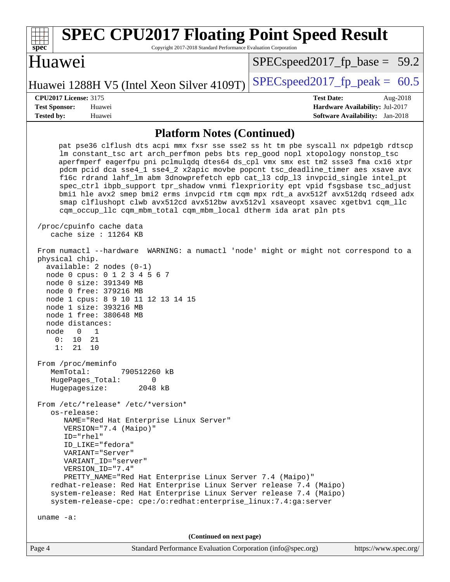| <b>SPEC CPU2017 Floating Point Speed Result</b><br>Copyright 2017-2018 Standard Performance Evaluation Corporation<br>$spec^*$                                                                                                                                                                                                                                                                                                                                                                                                                                                                                                                                                                                                                                       |                                                                                                            |
|----------------------------------------------------------------------------------------------------------------------------------------------------------------------------------------------------------------------------------------------------------------------------------------------------------------------------------------------------------------------------------------------------------------------------------------------------------------------------------------------------------------------------------------------------------------------------------------------------------------------------------------------------------------------------------------------------------------------------------------------------------------------|------------------------------------------------------------------------------------------------------------|
| Huawei                                                                                                                                                                                                                                                                                                                                                                                                                                                                                                                                                                                                                                                                                                                                                               | $SPEC speed2017_f p\_base = 59.2$                                                                          |
| Huawei 1288H V5 (Intel Xeon Silver 4109T)                                                                                                                                                                                                                                                                                                                                                                                                                                                                                                                                                                                                                                                                                                                            | $SPEC speed2017_fp\_peak = 60.5$                                                                           |
| <b>CPU2017 License: 3175</b><br><b>Test Sponsor:</b><br>Huawei<br><b>Tested by:</b><br>Huawei                                                                                                                                                                                                                                                                                                                                                                                                                                                                                                                                                                                                                                                                        | <b>Test Date:</b><br>Aug-2018<br>Hardware Availability: Jul-2017<br><b>Software Availability:</b> Jan-2018 |
| <b>Platform Notes (Continued)</b>                                                                                                                                                                                                                                                                                                                                                                                                                                                                                                                                                                                                                                                                                                                                    |                                                                                                            |
| pat pse36 clflush dts acpi mmx fxsr sse sse2 ss ht tm pbe syscall nx pdpelgb rdtscp<br>lm constant_tsc art arch_perfmon pebs bts rep_good nopl xtopology nonstop_tsc<br>aperfmperf eagerfpu pni pclmulqdq dtes64 ds_cpl vmx smx est tm2 ssse3 fma cx16 xtpr<br>pdcm pcid dca sse4_1 sse4_2 x2apic movbe popcnt tsc_deadline_timer aes xsave avx<br>f16c rdrand lahf_lm abm 3dnowprefetch epb cat_13 cdp_13 invpcid_single intel_pt<br>spec_ctrl ibpb_support tpr_shadow vnmi flexpriority ept vpid fsgsbase tsc_adjust<br>bmil hle avx2 smep bmi2 erms invpcid rtm cqm mpx rdt_a avx512f avx512dq rdseed adx<br>smap clflushopt clwb avx512cd avx512bw avx512vl xsaveopt xsavec xgetbvl cqm_llc<br>cqm_occup_llc cqm_mbm_total cqm_mbm_local dtherm ida arat pln pts |                                                                                                            |
| /proc/cpuinfo cache data<br>cache size : $11264$ KB                                                                                                                                                                                                                                                                                                                                                                                                                                                                                                                                                                                                                                                                                                                  |                                                                                                            |
| From numactl --hardware WARNING: a numactl 'node' might or might not correspond to a<br>physical chip.<br>$available: 2 nodes (0-1)$<br>node 0 cpus: 0 1 2 3 4 5 6 7<br>node 0 size: 391349 MB<br>node 0 free: 379216 MB<br>node 1 cpus: 8 9 10 11 12 13 14 15<br>node 1 size: 393216 MB<br>node 1 free: 380648 MB<br>node distances:<br>node<br>$\mathbf{0}$<br>$\overline{1}$<br>10<br>21<br>0 :<br>1:<br>21<br>10                                                                                                                                                                                                                                                                                                                                                 |                                                                                                            |
| From /proc/meminfo<br>MemTotal:<br>790512260 kB<br>HugePages_Total:<br>0<br>Hugepagesize:<br>2048 kB                                                                                                                                                                                                                                                                                                                                                                                                                                                                                                                                                                                                                                                                 |                                                                                                            |
| From /etc/*release* /etc/*version*<br>os-release:<br>NAME="Red Hat Enterprise Linux Server"<br>VERSION="7.4 (Maipo)"<br>ID="rhel"<br>ID LIKE="fedora"<br>VARIANT="Server"<br>VARIANT_ID="server"<br>VERSION_ID="7.4"<br>PRETTY_NAME="Red Hat Enterprise Linux Server 7.4 (Maipo)"<br>redhat-release: Red Hat Enterprise Linux Server release 7.4 (Maipo)<br>system-release: Red Hat Enterprise Linux Server release 7.4 (Maipo)<br>system-release-cpe: cpe:/o:redhat:enterprise_linux:7.4:ga:server<br>uname $-a$ :                                                                                                                                                                                                                                                  |                                                                                                            |
| (Continued on next page)                                                                                                                                                                                                                                                                                                                                                                                                                                                                                                                                                                                                                                                                                                                                             |                                                                                                            |
| Standard Performance Evaluation Corporation (info@spec.org)<br>Page 4                                                                                                                                                                                                                                                                                                                                                                                                                                                                                                                                                                                                                                                                                                | https://www.spec.org/                                                                                      |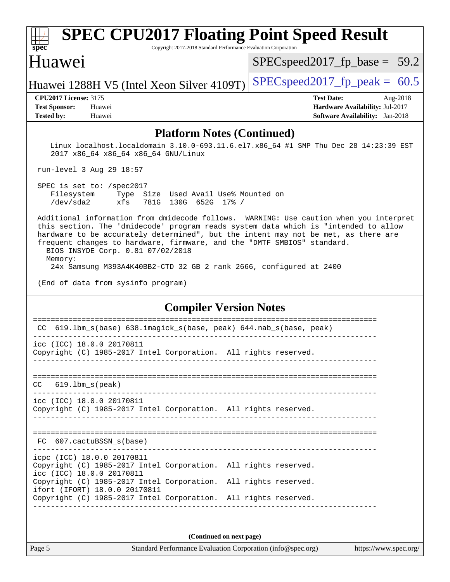#### **[spec](http://www.spec.org/) [SPEC CPU2017 Floating Point Speed Result](http://www.spec.org/auto/cpu2017/Docs/result-fields.html#SPECCPU2017FloatingPointSpeedResult)** Copyright 2017-2018 Standard Performance Evaluation Corporation Huawei Huawei 1288H V5 (Intel Xeon Silver 4109T) SPECspeed 2017 fp peak =  $60.5$  $SPECspeed2017_fp\_base = 59.2$ **[CPU2017 License:](http://www.spec.org/auto/cpu2017/Docs/result-fields.html#CPU2017License)** 3175 **[Test Date:](http://www.spec.org/auto/cpu2017/Docs/result-fields.html#TestDate)** Aug-2018 **[Test Sponsor:](http://www.spec.org/auto/cpu2017/Docs/result-fields.html#TestSponsor)** Huawei **[Hardware Availability:](http://www.spec.org/auto/cpu2017/Docs/result-fields.html#HardwareAvailability)** Jul-2017 **[Tested by:](http://www.spec.org/auto/cpu2017/Docs/result-fields.html#Testedby)** Huawei **[Software Availability:](http://www.spec.org/auto/cpu2017/Docs/result-fields.html#SoftwareAvailability)** Jan-2018 **[Platform Notes \(Continued\)](http://www.spec.org/auto/cpu2017/Docs/result-fields.html#PlatformNotes)** Linux localhost.localdomain 3.10.0-693.11.6.el7.x86\_64 #1 SMP Thu Dec 28 14:23:39 EST 2017 x86\_64 x86\_64 x86\_64 GNU/Linux run-level 3 Aug 29 18:57 SPEC is set to: /spec2017 Filesystem Type Size Used Avail Use% Mounted on /dev/sda2 xfs 781G 130G 652G 17% / Additional information from dmidecode follows. WARNING: Use caution when you interpret this section. The 'dmidecode' program reads system data which is "intended to allow hardware to be accurately determined", but the intent may not be met, as there are frequent changes to hardware, firmware, and the "DMTF SMBIOS" standard. BIOS INSYDE Corp. 0.81 07/02/2018 Memory: 24x Samsung M393A4K40BB2-CTD 32 GB 2 rank 2666, configured at 2400 (End of data from sysinfo program) **[Compiler Version Notes](http://www.spec.org/auto/cpu2017/Docs/result-fields.html#CompilerVersionNotes)** ============================================================================== CC 619.lbm\_s(base) 638.imagick\_s(base, peak) 644.nab\_s(base, peak) ----------------------------------------------------------------------------- icc (ICC) 18.0.0 20170811 Copyright (C) 1985-2017 Intel Corporation. All rights reserved. ------------------------------------------------------------------------------ ============================================================================== CC 619.lbm\_s(peak) ----------------------------------------------------------------------------- icc (ICC) 18.0.0 20170811 Copyright (C) 1985-2017 Intel Corporation. All rights reserved. ------------------------------------------------------------------------------ ============================================================================== FC 607.cactuBSSN\_s(base) ----------------------------------------------------------------------------- icpc (ICC) 18.0.0 20170811 Copyright (C) 1985-2017 Intel Corporation. All rights reserved.

icc (ICC) 18.0.0 20170811 Copyright (C) 1985-2017 Intel Corporation. All rights reserved. ifort (IFORT) 18.0.0 20170811 Copyright (C) 1985-2017 Intel Corporation. All rights reserved.

**(Continued on next page)**

------------------------------------------------------------------------------

Page 5 Standard Performance Evaluation Corporation [\(info@spec.org\)](mailto:info@spec.org) <https://www.spec.org/>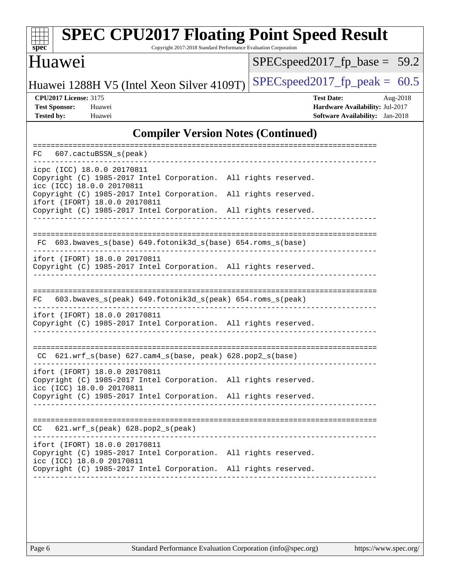| <b>SPEC CPU2017 Floating Point Speed Result</b><br>Copyright 2017-2018 Standard Performance Evaluation Corporation<br>$spec^*$                                                                            |                                                                                                     |
|-----------------------------------------------------------------------------------------------------------------------------------------------------------------------------------------------------------|-----------------------------------------------------------------------------------------------------|
| Huawei                                                                                                                                                                                                    | $SPEC speed2017_fp\_base = 59.2$                                                                    |
| Huawei 1288H V5 (Intel Xeon Silver 4109T)                                                                                                                                                                 | $SPEC speed2017_fp_peak =$<br>60.5                                                                  |
| <b>CPU2017 License: 3175</b><br><b>Test Sponsor:</b><br>Huawei<br><b>Tested by:</b><br>Huawei                                                                                                             | <b>Test Date:</b><br>Aug-2018<br>Hardware Availability: Jul-2017<br>Software Availability: Jan-2018 |
| <b>Compiler Version Notes (Continued)</b>                                                                                                                                                                 |                                                                                                     |
| 607.cactuBSSN_s(peak)<br>FC                                                                                                                                                                               |                                                                                                     |
| icpc (ICC) 18.0.0 20170811<br>Copyright (C) 1985-2017 Intel Corporation. All rights reserved.<br>icc (ICC) 18.0.0 20170811<br>Copyright (C) 1985-2017 Intel Corporation.<br>ifort (IFORT) 18.0.0 20170811 | All rights reserved.                                                                                |
| Copyright (C) 1985-2017 Intel Corporation. All rights reserved.                                                                                                                                           |                                                                                                     |
| 603.bwaves_s(base) 649.fotonik3d_s(base) 654.roms_s(base)<br>FC.<br>ifort (IFORT) 18.0.0 20170811                                                                                                         |                                                                                                     |
| Copyright (C) 1985-2017 Intel Corporation. All rights reserved.                                                                                                                                           |                                                                                                     |
| 603.bwaves_s(peak) 649.fotonik3d_s(peak) 654.roms_s(peak)<br>FC                                                                                                                                           |                                                                                                     |
| ifort (IFORT) 18.0.0 20170811<br>Copyright (C) 1985-2017 Intel Corporation. All rights reserved.                                                                                                          |                                                                                                     |
| CC 621.wrf_s(base) 627.cam4_s(base, peak) 628.pop2_s(base)                                                                                                                                                |                                                                                                     |
| ifort (IFORT) 18.0.0 20170811<br>Copyright (C) 1985-2017 Intel Corporation. All rights reserved.<br>icc (ICC) 18.0.0 20170811                                                                             |                                                                                                     |
| Copyright (C) 1985-2017 Intel Corporation. All rights reserved.                                                                                                                                           |                                                                                                     |
| $621.wrf_s(peak)$ $628.pop2_s(peak)$<br>CC.                                                                                                                                                               |                                                                                                     |
| ifort (IFORT) 18.0.0 20170811<br>Copyright (C) 1985-2017 Intel Corporation. All rights reserved.<br>icc (ICC) 18.0.0 20170811                                                                             |                                                                                                     |
| Copyright (C) 1985-2017 Intel Corporation. All rights reserved.                                                                                                                                           |                                                                                                     |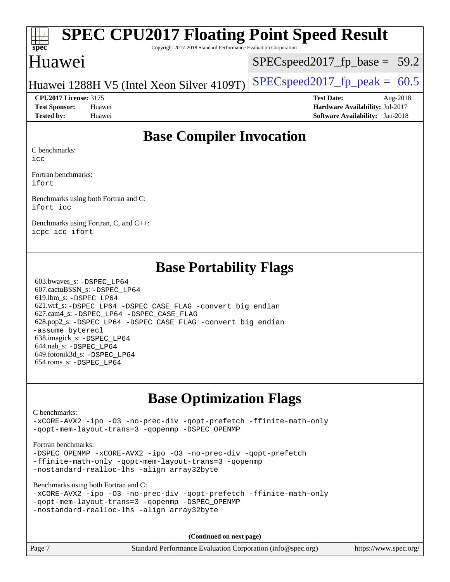| SPEC CPU2017 Floating Point Speed Result<br>$\overline{\text{spec}^*}$<br>Copyright 2017-2018 Standard Performance Evaluation Corporation |                                  |  |
|-------------------------------------------------------------------------------------------------------------------------------------------|----------------------------------|--|
| Huawei                                                                                                                                    | $SPEC speed2017_fp\_base = 59.2$ |  |
| Huawei 1288H V5 (Intel Xeon Silver 4109T) $ $ SPECspeed 2017 fp peak = 60.5                                                               |                                  |  |

**[CPU2017 License:](http://www.spec.org/auto/cpu2017/Docs/result-fields.html#CPU2017License)** 3175 **[Test Date:](http://www.spec.org/auto/cpu2017/Docs/result-fields.html#TestDate)** Aug-2018 **[Test Sponsor:](http://www.spec.org/auto/cpu2017/Docs/result-fields.html#TestSponsor)** Huawei **[Hardware Availability:](http://www.spec.org/auto/cpu2017/Docs/result-fields.html#HardwareAvailability)** Jul-2017 **[Tested by:](http://www.spec.org/auto/cpu2017/Docs/result-fields.html#Testedby)** Huawei **[Software Availability:](http://www.spec.org/auto/cpu2017/Docs/result-fields.html#SoftwareAvailability)** Jan-2018

### **[Base Compiler Invocation](http://www.spec.org/auto/cpu2017/Docs/result-fields.html#BaseCompilerInvocation)**

[C benchmarks:](http://www.spec.org/auto/cpu2017/Docs/result-fields.html#Cbenchmarks)

[icc](http://www.spec.org/cpu2017/results/res2018q4/cpu2017-20180909-08824.flags.html#user_CCbase_intel_icc_18.0_66fc1ee009f7361af1fbd72ca7dcefbb700085f36577c54f309893dd4ec40d12360134090235512931783d35fd58c0460139e722d5067c5574d8eaf2b3e37e92)

[Fortran benchmarks](http://www.spec.org/auto/cpu2017/Docs/result-fields.html#Fortranbenchmarks): [ifort](http://www.spec.org/cpu2017/results/res2018q4/cpu2017-20180909-08824.flags.html#user_FCbase_intel_ifort_18.0_8111460550e3ca792625aed983ce982f94888b8b503583aa7ba2b8303487b4d8a21a13e7191a45c5fd58ff318f48f9492884d4413fa793fd88dd292cad7027ca)

[Benchmarks using both Fortran and C:](http://www.spec.org/auto/cpu2017/Docs/result-fields.html#BenchmarksusingbothFortranandC) [ifort](http://www.spec.org/cpu2017/results/res2018q4/cpu2017-20180909-08824.flags.html#user_CC_FCbase_intel_ifort_18.0_8111460550e3ca792625aed983ce982f94888b8b503583aa7ba2b8303487b4d8a21a13e7191a45c5fd58ff318f48f9492884d4413fa793fd88dd292cad7027ca) [icc](http://www.spec.org/cpu2017/results/res2018q4/cpu2017-20180909-08824.flags.html#user_CC_FCbase_intel_icc_18.0_66fc1ee009f7361af1fbd72ca7dcefbb700085f36577c54f309893dd4ec40d12360134090235512931783d35fd58c0460139e722d5067c5574d8eaf2b3e37e92)

[Benchmarks using Fortran, C, and C++:](http://www.spec.org/auto/cpu2017/Docs/result-fields.html#BenchmarksusingFortranCandCXX) [icpc](http://www.spec.org/cpu2017/results/res2018q4/cpu2017-20180909-08824.flags.html#user_CC_CXX_FCbase_intel_icpc_18.0_c510b6838c7f56d33e37e94d029a35b4a7bccf4766a728ee175e80a419847e808290a9b78be685c44ab727ea267ec2f070ec5dc83b407c0218cded6866a35d07) [icc](http://www.spec.org/cpu2017/results/res2018q4/cpu2017-20180909-08824.flags.html#user_CC_CXX_FCbase_intel_icc_18.0_66fc1ee009f7361af1fbd72ca7dcefbb700085f36577c54f309893dd4ec40d12360134090235512931783d35fd58c0460139e722d5067c5574d8eaf2b3e37e92) [ifort](http://www.spec.org/cpu2017/results/res2018q4/cpu2017-20180909-08824.flags.html#user_CC_CXX_FCbase_intel_ifort_18.0_8111460550e3ca792625aed983ce982f94888b8b503583aa7ba2b8303487b4d8a21a13e7191a45c5fd58ff318f48f9492884d4413fa793fd88dd292cad7027ca)

### **[Base Portability Flags](http://www.spec.org/auto/cpu2017/Docs/result-fields.html#BasePortabilityFlags)**

 603.bwaves\_s: [-DSPEC\\_LP64](http://www.spec.org/cpu2017/results/res2018q4/cpu2017-20180909-08824.flags.html#suite_basePORTABILITY603_bwaves_s_DSPEC_LP64) 607.cactuBSSN\_s: [-DSPEC\\_LP64](http://www.spec.org/cpu2017/results/res2018q4/cpu2017-20180909-08824.flags.html#suite_basePORTABILITY607_cactuBSSN_s_DSPEC_LP64) 619.lbm\_s: [-DSPEC\\_LP64](http://www.spec.org/cpu2017/results/res2018q4/cpu2017-20180909-08824.flags.html#suite_basePORTABILITY619_lbm_s_DSPEC_LP64) 621.wrf\_s: [-DSPEC\\_LP64](http://www.spec.org/cpu2017/results/res2018q4/cpu2017-20180909-08824.flags.html#suite_basePORTABILITY621_wrf_s_DSPEC_LP64) [-DSPEC\\_CASE\\_FLAG](http://www.spec.org/cpu2017/results/res2018q4/cpu2017-20180909-08824.flags.html#b621.wrf_s_baseCPORTABILITY_DSPEC_CASE_FLAG) [-convert big\\_endian](http://www.spec.org/cpu2017/results/res2018q4/cpu2017-20180909-08824.flags.html#user_baseFPORTABILITY621_wrf_s_convert_big_endian_c3194028bc08c63ac5d04de18c48ce6d347e4e562e8892b8bdbdc0214820426deb8554edfa529a3fb25a586e65a3d812c835984020483e7e73212c4d31a38223) 627.cam4\_s: [-DSPEC\\_LP64](http://www.spec.org/cpu2017/results/res2018q4/cpu2017-20180909-08824.flags.html#suite_basePORTABILITY627_cam4_s_DSPEC_LP64) [-DSPEC\\_CASE\\_FLAG](http://www.spec.org/cpu2017/results/res2018q4/cpu2017-20180909-08824.flags.html#b627.cam4_s_baseCPORTABILITY_DSPEC_CASE_FLAG) 628.pop2\_s: [-DSPEC\\_LP64](http://www.spec.org/cpu2017/results/res2018q4/cpu2017-20180909-08824.flags.html#suite_basePORTABILITY628_pop2_s_DSPEC_LP64) [-DSPEC\\_CASE\\_FLAG](http://www.spec.org/cpu2017/results/res2018q4/cpu2017-20180909-08824.flags.html#b628.pop2_s_baseCPORTABILITY_DSPEC_CASE_FLAG) [-convert big\\_endian](http://www.spec.org/cpu2017/results/res2018q4/cpu2017-20180909-08824.flags.html#user_baseFPORTABILITY628_pop2_s_convert_big_endian_c3194028bc08c63ac5d04de18c48ce6d347e4e562e8892b8bdbdc0214820426deb8554edfa529a3fb25a586e65a3d812c835984020483e7e73212c4d31a38223) [-assume byterecl](http://www.spec.org/cpu2017/results/res2018q4/cpu2017-20180909-08824.flags.html#user_baseFPORTABILITY628_pop2_s_assume_byterecl_7e47d18b9513cf18525430bbf0f2177aa9bf368bc7a059c09b2c06a34b53bd3447c950d3f8d6c70e3faf3a05c8557d66a5798b567902e8849adc142926523472) 638.imagick\_s: [-DSPEC\\_LP64](http://www.spec.org/cpu2017/results/res2018q4/cpu2017-20180909-08824.flags.html#suite_basePORTABILITY638_imagick_s_DSPEC_LP64) 644.nab\_s: [-DSPEC\\_LP64](http://www.spec.org/cpu2017/results/res2018q4/cpu2017-20180909-08824.flags.html#suite_basePORTABILITY644_nab_s_DSPEC_LP64) 649.fotonik3d\_s: [-DSPEC\\_LP64](http://www.spec.org/cpu2017/results/res2018q4/cpu2017-20180909-08824.flags.html#suite_basePORTABILITY649_fotonik3d_s_DSPEC_LP64) 654.roms\_s: [-DSPEC\\_LP64](http://www.spec.org/cpu2017/results/res2018q4/cpu2017-20180909-08824.flags.html#suite_basePORTABILITY654_roms_s_DSPEC_LP64)

### **[Base Optimization Flags](http://www.spec.org/auto/cpu2017/Docs/result-fields.html#BaseOptimizationFlags)**

### [C benchmarks](http://www.spec.org/auto/cpu2017/Docs/result-fields.html#Cbenchmarks):

[-xCORE-AVX2](http://www.spec.org/cpu2017/results/res2018q4/cpu2017-20180909-08824.flags.html#user_CCbase_f-xCORE-AVX2) [-ipo](http://www.spec.org/cpu2017/results/res2018q4/cpu2017-20180909-08824.flags.html#user_CCbase_f-ipo) [-O3](http://www.spec.org/cpu2017/results/res2018q4/cpu2017-20180909-08824.flags.html#user_CCbase_f-O3) [-no-prec-div](http://www.spec.org/cpu2017/results/res2018q4/cpu2017-20180909-08824.flags.html#user_CCbase_f-no-prec-div) [-qopt-prefetch](http://www.spec.org/cpu2017/results/res2018q4/cpu2017-20180909-08824.flags.html#user_CCbase_f-qopt-prefetch) [-ffinite-math-only](http://www.spec.org/cpu2017/results/res2018q4/cpu2017-20180909-08824.flags.html#user_CCbase_f_finite_math_only_cb91587bd2077682c4b38af759c288ed7c732db004271a9512da14a4f8007909a5f1427ecbf1a0fb78ff2a814402c6114ac565ca162485bbcae155b5e4258871) [-qopt-mem-layout-trans=3](http://www.spec.org/cpu2017/results/res2018q4/cpu2017-20180909-08824.flags.html#user_CCbase_f-qopt-mem-layout-trans_de80db37974c74b1f0e20d883f0b675c88c3b01e9d123adea9b28688d64333345fb62bc4a798493513fdb68f60282f9a726aa07f478b2f7113531aecce732043) [-qopenmp](http://www.spec.org/cpu2017/results/res2018q4/cpu2017-20180909-08824.flags.html#user_CCbase_qopenmp_16be0c44f24f464004c6784a7acb94aca937f053568ce72f94b139a11c7c168634a55f6653758ddd83bcf7b8463e8028bb0b48b77bcddc6b78d5d95bb1df2967) [-DSPEC\\_OPENMP](http://www.spec.org/cpu2017/results/res2018q4/cpu2017-20180909-08824.flags.html#suite_CCbase_DSPEC_OPENMP)

#### [Fortran benchmarks](http://www.spec.org/auto/cpu2017/Docs/result-fields.html#Fortranbenchmarks):

[-DSPEC\\_OPENMP](http://www.spec.org/cpu2017/results/res2018q4/cpu2017-20180909-08824.flags.html#suite_FCbase_DSPEC_OPENMP) [-xCORE-AVX2](http://www.spec.org/cpu2017/results/res2018q4/cpu2017-20180909-08824.flags.html#user_FCbase_f-xCORE-AVX2) [-ipo](http://www.spec.org/cpu2017/results/res2018q4/cpu2017-20180909-08824.flags.html#user_FCbase_f-ipo) [-O3](http://www.spec.org/cpu2017/results/res2018q4/cpu2017-20180909-08824.flags.html#user_FCbase_f-O3) [-no-prec-div](http://www.spec.org/cpu2017/results/res2018q4/cpu2017-20180909-08824.flags.html#user_FCbase_f-no-prec-div) [-qopt-prefetch](http://www.spec.org/cpu2017/results/res2018q4/cpu2017-20180909-08824.flags.html#user_FCbase_f-qopt-prefetch) [-ffinite-math-only](http://www.spec.org/cpu2017/results/res2018q4/cpu2017-20180909-08824.flags.html#user_FCbase_f_finite_math_only_cb91587bd2077682c4b38af759c288ed7c732db004271a9512da14a4f8007909a5f1427ecbf1a0fb78ff2a814402c6114ac565ca162485bbcae155b5e4258871) [-qopt-mem-layout-trans=3](http://www.spec.org/cpu2017/results/res2018q4/cpu2017-20180909-08824.flags.html#user_FCbase_f-qopt-mem-layout-trans_de80db37974c74b1f0e20d883f0b675c88c3b01e9d123adea9b28688d64333345fb62bc4a798493513fdb68f60282f9a726aa07f478b2f7113531aecce732043) [-qopenmp](http://www.spec.org/cpu2017/results/res2018q4/cpu2017-20180909-08824.flags.html#user_FCbase_qopenmp_16be0c44f24f464004c6784a7acb94aca937f053568ce72f94b139a11c7c168634a55f6653758ddd83bcf7b8463e8028bb0b48b77bcddc6b78d5d95bb1df2967) [-nostandard-realloc-lhs](http://www.spec.org/cpu2017/results/res2018q4/cpu2017-20180909-08824.flags.html#user_FCbase_f_2003_std_realloc_82b4557e90729c0f113870c07e44d33d6f5a304b4f63d4c15d2d0f1fab99f5daaed73bdb9275d9ae411527f28b936061aa8b9c8f2d63842963b95c9dd6426b8a) [-align array32byte](http://www.spec.org/cpu2017/results/res2018q4/cpu2017-20180909-08824.flags.html#user_FCbase_align_array32byte_b982fe038af199962ba9a80c053b8342c548c85b40b8e86eb3cc33dee0d7986a4af373ac2d51c3f7cf710a18d62fdce2948f201cd044323541f22fc0fffc51b6)

[Benchmarks using both Fortran and C](http://www.spec.org/auto/cpu2017/Docs/result-fields.html#BenchmarksusingbothFortranandC):

|                                            |  |  |                                                 | -xCORE-AVX2 -ipo -03 -no-prec-div -qopt-prefetch -ffinite-math-only |
|--------------------------------------------|--|--|-------------------------------------------------|---------------------------------------------------------------------|
|                                            |  |  | -gopt-mem-layout-trans=3 -gopenmp -DSPEC OPENMP |                                                                     |
| -nostandard-realloc-lhs -align array32byte |  |  |                                                 |                                                                     |

**(Continued on next page)**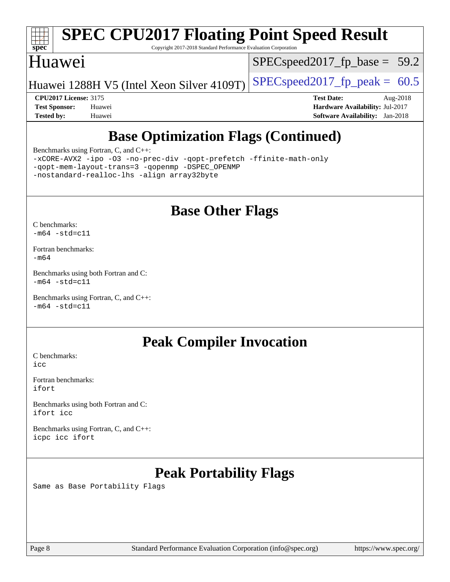

# **[SPEC CPU2017 Floating Point Speed Result](http://www.spec.org/auto/cpu2017/Docs/result-fields.html#SPECCPU2017FloatingPointSpeedResult)**

Copyright 2017-2018 Standard Performance Evaluation Corporation

### Huawei

 $SPECspeed2017_fp\_base = 59.2$ 

Huawei 1288H V5 (Intel Xeon Silver 4109T) [SPECspeed2017\\_fp\\_peak =](http://www.spec.org/auto/cpu2017/Docs/result-fields.html#SPECspeed2017fppeak)  $60.5$ 

**[CPU2017 License:](http://www.spec.org/auto/cpu2017/Docs/result-fields.html#CPU2017License)** 3175 **[Test Date:](http://www.spec.org/auto/cpu2017/Docs/result-fields.html#TestDate)** Aug-2018 **[Test Sponsor:](http://www.spec.org/auto/cpu2017/Docs/result-fields.html#TestSponsor)** Huawei **[Hardware Availability:](http://www.spec.org/auto/cpu2017/Docs/result-fields.html#HardwareAvailability)** Jul-2017 **[Tested by:](http://www.spec.org/auto/cpu2017/Docs/result-fields.html#Testedby)** Huawei **[Software Availability:](http://www.spec.org/auto/cpu2017/Docs/result-fields.html#SoftwareAvailability)** Jan-2018

## **[Base Optimization Flags \(Continued\)](http://www.spec.org/auto/cpu2017/Docs/result-fields.html#BaseOptimizationFlags)**

[Benchmarks using Fortran, C, and C++:](http://www.spec.org/auto/cpu2017/Docs/result-fields.html#BenchmarksusingFortranCandCXX)

[-xCORE-AVX2](http://www.spec.org/cpu2017/results/res2018q4/cpu2017-20180909-08824.flags.html#user_CC_CXX_FCbase_f-xCORE-AVX2) [-ipo](http://www.spec.org/cpu2017/results/res2018q4/cpu2017-20180909-08824.flags.html#user_CC_CXX_FCbase_f-ipo) [-O3](http://www.spec.org/cpu2017/results/res2018q4/cpu2017-20180909-08824.flags.html#user_CC_CXX_FCbase_f-O3) [-no-prec-div](http://www.spec.org/cpu2017/results/res2018q4/cpu2017-20180909-08824.flags.html#user_CC_CXX_FCbase_f-no-prec-div) [-qopt-prefetch](http://www.spec.org/cpu2017/results/res2018q4/cpu2017-20180909-08824.flags.html#user_CC_CXX_FCbase_f-qopt-prefetch) [-ffinite-math-only](http://www.spec.org/cpu2017/results/res2018q4/cpu2017-20180909-08824.flags.html#user_CC_CXX_FCbase_f_finite_math_only_cb91587bd2077682c4b38af759c288ed7c732db004271a9512da14a4f8007909a5f1427ecbf1a0fb78ff2a814402c6114ac565ca162485bbcae155b5e4258871) [-qopt-mem-layout-trans=3](http://www.spec.org/cpu2017/results/res2018q4/cpu2017-20180909-08824.flags.html#user_CC_CXX_FCbase_f-qopt-mem-layout-trans_de80db37974c74b1f0e20d883f0b675c88c3b01e9d123adea9b28688d64333345fb62bc4a798493513fdb68f60282f9a726aa07f478b2f7113531aecce732043) [-qopenmp](http://www.spec.org/cpu2017/results/res2018q4/cpu2017-20180909-08824.flags.html#user_CC_CXX_FCbase_qopenmp_16be0c44f24f464004c6784a7acb94aca937f053568ce72f94b139a11c7c168634a55f6653758ddd83bcf7b8463e8028bb0b48b77bcddc6b78d5d95bb1df2967) [-DSPEC\\_OPENMP](http://www.spec.org/cpu2017/results/res2018q4/cpu2017-20180909-08824.flags.html#suite_CC_CXX_FCbase_DSPEC_OPENMP) [-nostandard-realloc-lhs](http://www.spec.org/cpu2017/results/res2018q4/cpu2017-20180909-08824.flags.html#user_CC_CXX_FCbase_f_2003_std_realloc_82b4557e90729c0f113870c07e44d33d6f5a304b4f63d4c15d2d0f1fab99f5daaed73bdb9275d9ae411527f28b936061aa8b9c8f2d63842963b95c9dd6426b8a) [-align array32byte](http://www.spec.org/cpu2017/results/res2018q4/cpu2017-20180909-08824.flags.html#user_CC_CXX_FCbase_align_array32byte_b982fe038af199962ba9a80c053b8342c548c85b40b8e86eb3cc33dee0d7986a4af373ac2d51c3f7cf710a18d62fdce2948f201cd044323541f22fc0fffc51b6)

### **[Base Other Flags](http://www.spec.org/auto/cpu2017/Docs/result-fields.html#BaseOtherFlags)**

[C benchmarks](http://www.spec.org/auto/cpu2017/Docs/result-fields.html#Cbenchmarks):  $-m64 - std= c11$  $-m64 - std= c11$ 

[Fortran benchmarks](http://www.spec.org/auto/cpu2017/Docs/result-fields.html#Fortranbenchmarks): [-m64](http://www.spec.org/cpu2017/results/res2018q4/cpu2017-20180909-08824.flags.html#user_FCbase_intel_intel64_18.0_af43caccfc8ded86e7699f2159af6efc7655f51387b94da716254467f3c01020a5059329e2569e4053f409e7c9202a7efc638f7a6d1ffb3f52dea4a3e31d82ab)

[Benchmarks using both Fortran and C](http://www.spec.org/auto/cpu2017/Docs/result-fields.html#BenchmarksusingbothFortranandC):  $-m64$   $-std=cl1$ 

[Benchmarks using Fortran, C, and C++:](http://www.spec.org/auto/cpu2017/Docs/result-fields.html#BenchmarksusingFortranCandCXX)  $-m64$   $-std=cl1$ 

### **[Peak Compiler Invocation](http://www.spec.org/auto/cpu2017/Docs/result-fields.html#PeakCompilerInvocation)**

[C benchmarks](http://www.spec.org/auto/cpu2017/Docs/result-fields.html#Cbenchmarks): [icc](http://www.spec.org/cpu2017/results/res2018q4/cpu2017-20180909-08824.flags.html#user_CCpeak_intel_icc_18.0_66fc1ee009f7361af1fbd72ca7dcefbb700085f36577c54f309893dd4ec40d12360134090235512931783d35fd58c0460139e722d5067c5574d8eaf2b3e37e92)

[Fortran benchmarks](http://www.spec.org/auto/cpu2017/Docs/result-fields.html#Fortranbenchmarks): [ifort](http://www.spec.org/cpu2017/results/res2018q4/cpu2017-20180909-08824.flags.html#user_FCpeak_intel_ifort_18.0_8111460550e3ca792625aed983ce982f94888b8b503583aa7ba2b8303487b4d8a21a13e7191a45c5fd58ff318f48f9492884d4413fa793fd88dd292cad7027ca)

[Benchmarks using both Fortran and C](http://www.spec.org/auto/cpu2017/Docs/result-fields.html#BenchmarksusingbothFortranandC): [ifort](http://www.spec.org/cpu2017/results/res2018q4/cpu2017-20180909-08824.flags.html#user_CC_FCpeak_intel_ifort_18.0_8111460550e3ca792625aed983ce982f94888b8b503583aa7ba2b8303487b4d8a21a13e7191a45c5fd58ff318f48f9492884d4413fa793fd88dd292cad7027ca) [icc](http://www.spec.org/cpu2017/results/res2018q4/cpu2017-20180909-08824.flags.html#user_CC_FCpeak_intel_icc_18.0_66fc1ee009f7361af1fbd72ca7dcefbb700085f36577c54f309893dd4ec40d12360134090235512931783d35fd58c0460139e722d5067c5574d8eaf2b3e37e92)

[Benchmarks using Fortran, C, and C++:](http://www.spec.org/auto/cpu2017/Docs/result-fields.html#BenchmarksusingFortranCandCXX) [icpc](http://www.spec.org/cpu2017/results/res2018q4/cpu2017-20180909-08824.flags.html#user_CC_CXX_FCpeak_intel_icpc_18.0_c510b6838c7f56d33e37e94d029a35b4a7bccf4766a728ee175e80a419847e808290a9b78be685c44ab727ea267ec2f070ec5dc83b407c0218cded6866a35d07) [icc](http://www.spec.org/cpu2017/results/res2018q4/cpu2017-20180909-08824.flags.html#user_CC_CXX_FCpeak_intel_icc_18.0_66fc1ee009f7361af1fbd72ca7dcefbb700085f36577c54f309893dd4ec40d12360134090235512931783d35fd58c0460139e722d5067c5574d8eaf2b3e37e92) [ifort](http://www.spec.org/cpu2017/results/res2018q4/cpu2017-20180909-08824.flags.html#user_CC_CXX_FCpeak_intel_ifort_18.0_8111460550e3ca792625aed983ce982f94888b8b503583aa7ba2b8303487b4d8a21a13e7191a45c5fd58ff318f48f9492884d4413fa793fd88dd292cad7027ca)

## **[Peak Portability Flags](http://www.spec.org/auto/cpu2017/Docs/result-fields.html#PeakPortabilityFlags)**

Same as Base Portability Flags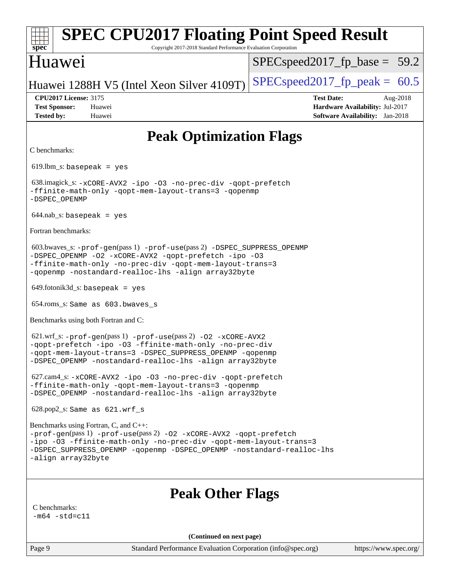| <b>SPEC CPU2017 Floating Point Speed Result</b><br>$spec*$<br>Copyright 2017-2018 Standard Performance Evaluation Corporation                                                                                                                                                   |                                                                                                     |
|---------------------------------------------------------------------------------------------------------------------------------------------------------------------------------------------------------------------------------------------------------------------------------|-----------------------------------------------------------------------------------------------------|
| Huawei                                                                                                                                                                                                                                                                          | $SPEC speed2017_f p\_base = 59.2$                                                                   |
| Huawei 1288H V5 (Intel Xeon Silver 4109T)                                                                                                                                                                                                                                       | $SPEC speed2017fp peak = 60.5$                                                                      |
| <b>CPU2017 License: 3175</b><br><b>Test Sponsor:</b><br>Huawei<br><b>Tested by:</b><br>Huawei                                                                                                                                                                                   | <b>Test Date:</b><br>Aug-2018<br>Hardware Availability: Jul-2017<br>Software Availability: Jan-2018 |
| <b>Peak Optimization Flags</b>                                                                                                                                                                                                                                                  |                                                                                                     |
| C benchmarks:                                                                                                                                                                                                                                                                   |                                                                                                     |
| $619.$ lbm_s: basepeak = yes                                                                                                                                                                                                                                                    |                                                                                                     |
| 638.imagick_s: -xCORE-AVX2 -ipo -03 -no-prec-div -qopt-prefetch<br>-ffinite-math-only -qopt-mem-layout-trans=3 -qopenmp<br>-DSPEC_OPENMP                                                                                                                                        |                                                                                                     |
| $644.nab_s$ : basepeak = yes                                                                                                                                                                                                                                                    |                                                                                                     |
| Fortran benchmarks:                                                                                                                                                                                                                                                             |                                                                                                     |
| $603.bwaves$ $s: -prof-gen(pass 1) -prof-use(pass 2) -DSPEC_SUPPRESS_OPENNP$<br>-DSPEC_OPENMP -02 -xCORE-AVX2 -qopt-prefetch -ipo -03<br>-ffinite-math-only -no-prec-div -qopt-mem-layout-trans=3<br>-qopenmp -nostandard-realloc-lhs -align array32byte                        |                                                                                                     |
| $649.$ fotonik $3d$ <sub>S</sub> : basepeak = yes                                                                                                                                                                                                                               |                                                                                                     |
| 654.roms_s: Same as 603.bwaves_s                                                                                                                                                                                                                                                |                                                                                                     |
| Benchmarks using both Fortran and C:                                                                                                                                                                                                                                            |                                                                                                     |
| 621.wrf_s: -prof-gen(pass 1) -prof-use(pass 2) -02 -xCORE-AVX2<br>-qopt-prefetch -ipo -03 -ffinite-math-only -no-prec-div<br>-qopt-mem-layout-trans=3 -DSPEC_SUPPRESS_OPENMP -qopenmp<br>-DSPEC_OPENMP -nostandard-realloc-lhs -align array32byte                               |                                                                                                     |
| 627.cam4_s: -xCORE-AVX2 -ipo -03 -no-prec-div -qopt-prefetch<br>-ffinite-math-only -qopt-mem-layout-trans=3 -qopenmp<br>-DSPEC_OPENMP -nostandard-realloc-lhs -align array32byte                                                                                                |                                                                                                     |
| $628.pop2_s: Same as 621.wrf_s$                                                                                                                                                                                                                                                 |                                                                                                     |
| Benchmarks using Fortran, C, and C++:<br>-prof-gen(pass 1) -prof-use(pass 2) -02 -xCORE-AVX2 -qopt-prefetch<br>-ipo -03 -ffinite-math-only -no-prec-div -qopt-mem-layout-trans=3<br>-DSPEC_SUPPRESS_OPENMP -qopenmp -DSPEC_OPENMP -nostandard-realloc-lhs<br>-align array32byte |                                                                                                     |
| <b>Peak Other Flags</b><br>C benchmarks:                                                                                                                                                                                                                                        |                                                                                                     |
| $-m64$ $-std= c11$                                                                                                                                                                                                                                                              |                                                                                                     |
| (Continued on next page)<br>Standard Devicemence Evaluation Corneration (info@enee.org)<br>$D_{0}$ go $\Omega$                                                                                                                                                                  |                                                                                                     |

Page 9 Standard Performance Evaluation Corporation [\(info@spec.org\)](mailto:info@spec.org) <https://www.spec.org/>